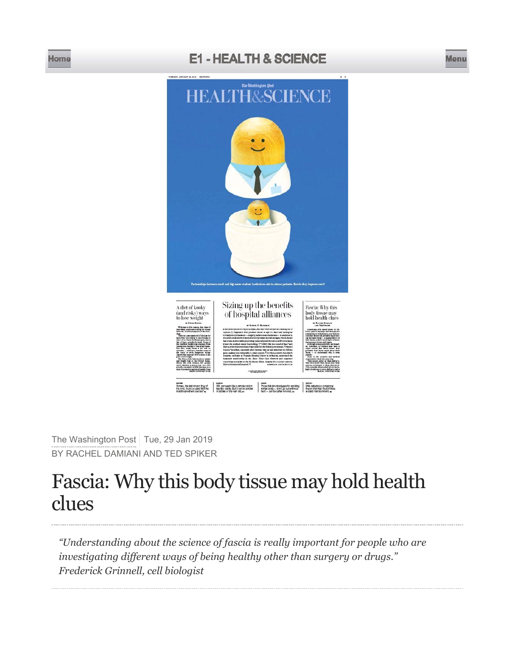## **Home E1 - HEALTH & SCIENCE Menu**



The Washington Post Tue, 29 Jan 2019 BY RACHEL DAMIANI AND TED SPIKER

# Fascia: Why this body tissue may hold health clues

*"Understanding about the science of fascia is really important for people who are investigating different ways of being healthy other than surgery or drugs." Frederick Grinnell, cell biologist*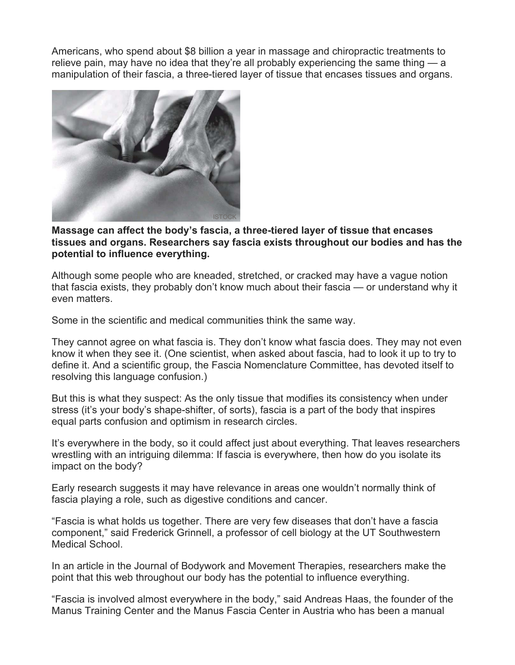Americans, who spend about \$8 billion a year in massage and chiropractic treatments to relieve pain, may have no idea that they're all probably experiencing the same thing — a manipulation of their fascia, a three-tiered layer of tissue that encases tissues and organs.



#### **Massage can affect the body's fascia, a three-tiered layer of tissue that encases tissues and organs. Researchers say fascia exists throughout our bodies and has the potential to influence everything.**

Although some people who are kneaded, stretched, or cracked may have a vague notion that fascia exists, they probably don't know much about their fascia — or understand why it even matters.

Some in the scientific and medical communities think the same way.

They cannot agree on what fascia is. They don't know what fascia does. They may not even know it when they see it. (One scientist, when asked about fascia, had to look it up to try to define it. And a scientific group, the Fascia Nomenclature Committee, has devoted itself to resolving this language confusion.)

But this is what they suspect: As the only tissue that modifies its consistency when under stress (it's your body's shape-shifter, of sorts), fascia is a part of the body that inspires equal parts confusion and optimism in research circles.

It's everywhere in the body, so it could affect just about everything. That leaves researchers wrestling with an intriguing dilemma: If fascia is everywhere, then how do you isolate its impact on the body?

Early research suggests it may have relevance in areas one wouldn't normally think of fascia playing a role, such as digestive conditions and cancer.

"Fascia is what holds us together. There are very few diseases that don't have a fascia component," said Frederick Grinnell, a professor of cell biology at the UT Southwestern Medical School.

In an article in the Journal of Bodywork and Movement Therapies, researchers make the point that this web throughout our body has the potential to influence everything.

"Fascia is involved almost everywhere in the body," said Andreas Haas, the founder of the Manus Training Center and the Manus Fascia Center in Austria who has been a manual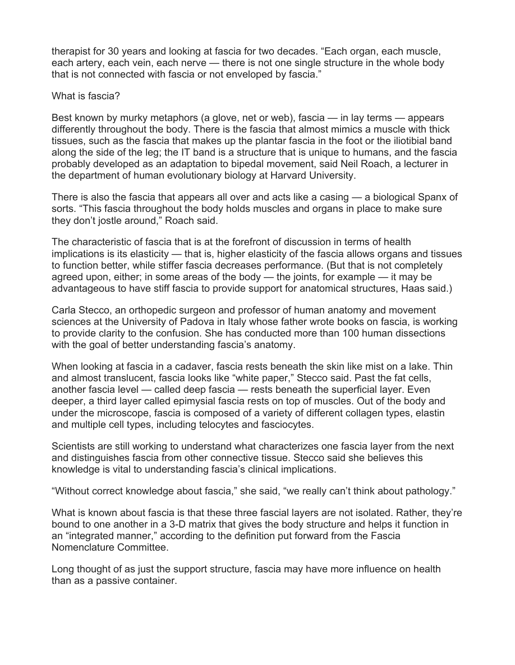therapist for 30 years and looking at fascia for two decades. "Each organ, each muscle, each artery, each vein, each nerve — there is not one single structure in the whole body that is not connected with fascia or not enveloped by fascia."

### What is fascia?

Best known by murky metaphors (a glove, net or web), fascia — in lay terms — appears differently throughout the body. There is the fascia that almost mimics a muscle with thick tissues, such as the fascia that makes up the plantar fascia in the foot or the iliotibial band along the side of the leg; the IT band is a structure that is unique to humans, and the fascia probably developed as an adaptation to bipedal movement, said Neil Roach, a lecturer in the department of human evolutionary biology at Harvard University.

There is also the fascia that appears all over and acts like a casing — a biological Spanx of sorts. "This fascia throughout the body holds muscles and organs in place to make sure they don't jostle around," Roach said.

The characteristic of fascia that is at the forefront of discussion in terms of health implications is its elasticity — that is, higher elasticity of the fascia allows organs and tissues to function better, while stiffer fascia decreases performance. (But that is not completely agreed upon, either; in some areas of the body — the joints, for example — it may be advantageous to have stiff fascia to provide support for anatomical structures, Haas said.)

Carla Stecco, an orthopedic surgeon and professor of human anatomy and movement sciences at the University of Padova in Italy whose father wrote books on fascia, is working to provide clarity to the confusion. She has conducted more than 100 human dissections with the goal of better understanding fascia's anatomy.

When looking at fascia in a cadaver, fascia rests beneath the skin like mist on a lake. Thin and almost translucent, fascia looks like "white paper," Stecco said. Past the fat cells, another fascia level — called deep fascia — rests beneath the superficial layer. Even deeper, a third layer called epimysial fascia rests on top of muscles. Out of the body and under the microscope, fascia is composed of a variety of different collagen types, elastin and multiple cell types, including telocytes and fasciocytes.

Scientists are still working to understand what characterizes one fascia layer from the next and distinguishes fascia from other connective tissue. Stecco said she believes this knowledge is vital to understanding fascia's clinical implications.

"Without correct knowledge about fascia," she said, "we really can't think about pathology."

What is known about fascia is that these three fascial layers are not isolated. Rather, they're bound to one another in a 3-D matrix that gives the body structure and helps it function in an "integrated manner," according to the definition put forward from the Fascia Nomenclature Committee.

Long thought of as just the support structure, fascia may have more influence on health than as a passive container.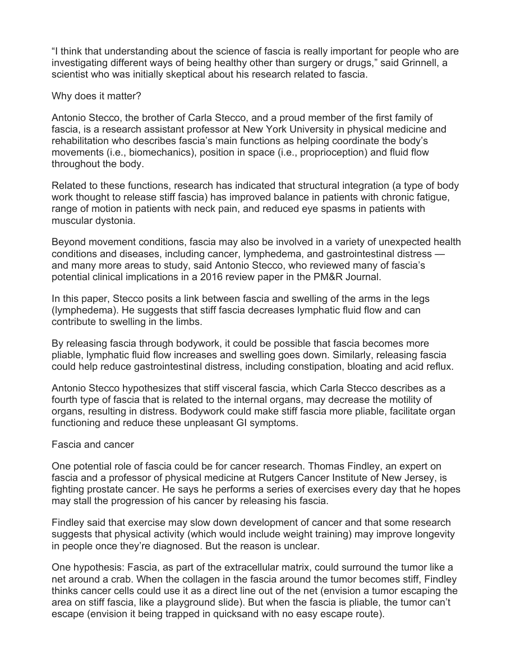"I think that understanding about the science of fascia is really important for people who are investigating different ways of being healthy other than surgery or drugs," said Grinnell, a scientist who was initially skeptical about his research related to fascia.

#### Why does it matter?

Antonio Stecco, the brother of Carla Stecco, and a proud member of the first family of fascia, is a research assistant professor at New York University in physical medicine and rehabilitation who describes fascia's main functions as helping coordinate the body's movements (i.e., biomechanics), position in space (i.e., proprioception) and fluid flow throughout the body.

Related to these functions, research has indicated that structural integration (a type of body work thought to release stiff fascia) has improved balance in patients with chronic fatigue, range of motion in patients with neck pain, and reduced eye spasms in patients with muscular dystonia.

Beyond movement conditions, fascia may also be involved in a variety of unexpected health conditions and diseases, including cancer, lymphedema, and gastrointestinal distress and many more areas to study, said Antonio Stecco, who reviewed many of fascia's potential clinical implications in a 2016 review paper in the PM&R Journal.

In this paper, Stecco posits a link between fascia and swelling of the arms in the legs (lymphedema). He suggests that stiff fascia decreases lymphatic fluid flow and can contribute to swelling in the limbs.

By releasing fascia through bodywork, it could be possible that fascia becomes more pliable, lymphatic fluid flow increases and swelling goes down. Similarly, releasing fascia could help reduce gastrointestinal distress, including constipation, bloating and acid reflux.

Antonio Stecco hypothesizes that stiff visceral fascia, which Carla Stecco describes as a fourth type of fascia that is related to the internal organs, may decrease the motility of organs, resulting in distress. Bodywork could make stiff fascia more pliable, facilitate organ functioning and reduce these unpleasant GI symptoms.

#### Fascia and cancer

One potential role of fascia could be for cancer research. Thomas Findley, an expert on fascia and a professor of physical medicine at Rutgers Cancer Institute of New Jersey, is fighting prostate cancer. He says he performs a series of exercises every day that he hopes may stall the progression of his cancer by releasing his fascia.

Findley said that exercise may slow down development of cancer and that some research suggests that physical activity (which would include weight training) may improve longevity in people once they're diagnosed. But the reason is unclear.

One hypothesis: Fascia, as part of the extracellular matrix, could surround the tumor like a net around a crab. When the collagen in the fascia around the tumor becomes stiff, Findley thinks cancer cells could use it as a direct line out of the net (envision a tumor escaping the area on stiff fascia, like a playground slide). But when the fascia is pliable, the tumor can't escape (envision it being trapped in quicksand with no easy escape route).